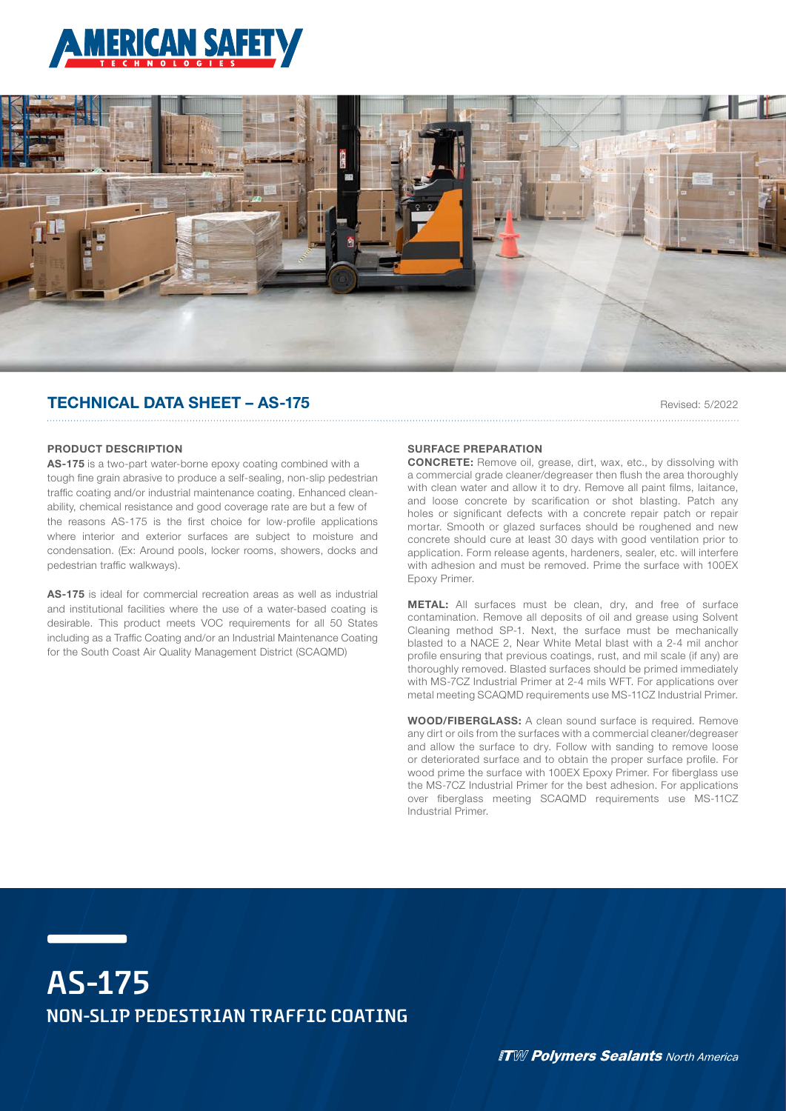



# TECHNICAL DATA SHEET – AS-175

Revised: 5/2022

### PRODUCT DESCRIPTION

AS-175 is a two-part water-borne epoxy coating combined with a tough fine grain abrasive to produce a self-sealing, non-slip pedestrian traffic coating and/or industrial maintenance coating. Enhanced cleanability, chemical resistance and good coverage rate are but a few of the reasons AS-175 is the first choice for low-profile applications where interior and exterior surfaces are subject to moisture and condensation. (Ex: Around pools, locker rooms, showers, docks and pedestrian traffic walkways).

AS-175 is ideal for commercial recreation areas as well as industrial and institutional facilities where the use of a water-based coating is desirable. This product meets VOC requirements for all 50 States including as a Traffic Coating and/or an Industrial Maintenance Coating for the South Coast Air Quality Management District (SCAQMD)

## SURFACE PREPARATION

CONCRETE: Remove oil, grease, dirt, wax, etc., by dissolving with a commercial grade cleaner/degreaser then flush the area thoroughly with clean water and allow it to dry. Remove all paint films, laitance, and loose concrete by scarification or shot blasting. Patch any holes or significant defects with a concrete repair patch or repair mortar. Smooth or glazed surfaces should be roughened and new concrete should cure at least 30 days with good ventilation prior to application. Form release agents, hardeners, sealer, etc. will interfere with adhesion and must be removed. Prime the surface with 100EX Epoxy Primer.

METAL: All surfaces must be clean, dry, and free of surface contamination. Remove all deposits of oil and grease using Solvent Cleaning method SP-1. Next, the surface must be mechanically blasted to a NACE 2, Near White Metal blast with a 2-4 mil anchor profile ensuring that previous coatings, rust, and mil scale (if any) are thoroughly removed. Blasted surfaces should be primed immediately with MS-7CZ Industrial Primer at 2-4 mils WFT. For applications over metal meeting SCAQMD requirements use MS-11CZ Industrial Primer.

WOOD/FIBERGLASS: A clean sound surface is required. Remove any dirt or oils from the surfaces with a commercial cleaner/degreaser and allow the surface to dry. Follow with sanding to remove loose or deteriorated surface and to obtain the proper surface profile. For wood prime the surface with 100EX Epoxy Primer. For fiberglass use the MS-7CZ Industrial Primer for the best adhesion. For applications over fiberglass meeting SCAQMD requirements use MS-11CZ Industrial Primer.

# **AS-175 NON-SLIP PEDESTRIAN TRAFFIC COATING**